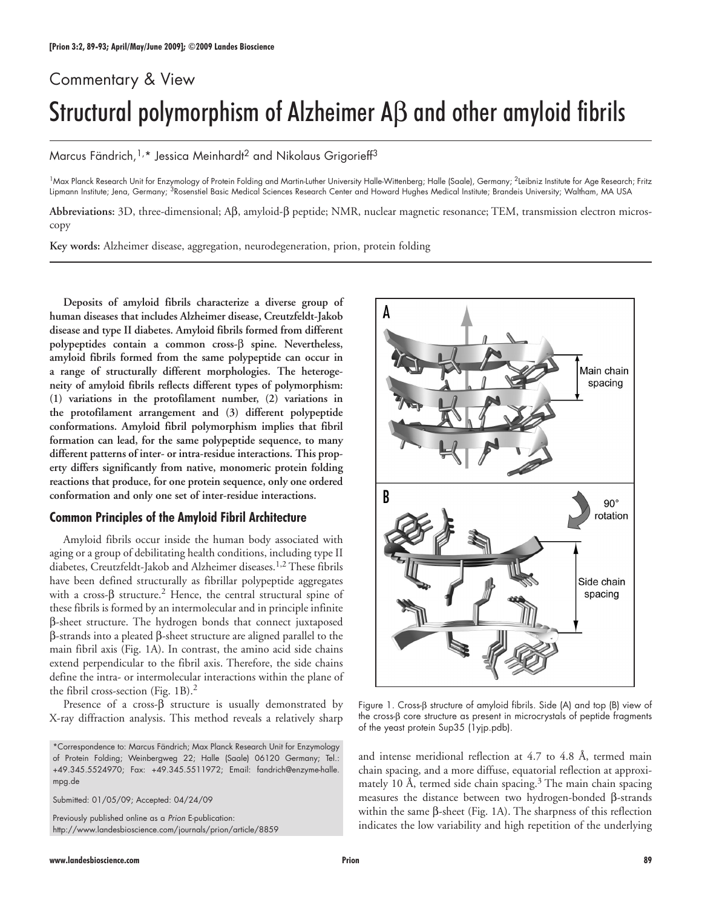# Commentary & View Structural polymorphism of Alzheimer Aβ and other amyloid fibrils

Marcus Fändrich,<sup>1,\*</sup> Jessica Meinhardt<sup>2</sup> and Nikolaus Grigorieff<sup>3</sup>

<sup>1</sup>Max Planck Research Unit for Enzymology of Protein Folding and Martin-Luther University Halle-Wittenberg; Halle (Saale), Germany; <sup>2</sup>Leibniz Institute for Age Research; Fritz Lipmann Institute; Jena, Germany; 3Rosenstiel Basic Medical Sciences Research Center and Howard Hughes Medical Institute; Brandeis University; Waltham, MA USA

**Abbreviations:** 3D, three-dimensional; Aβ, amyloid-β peptide; NMR, nuclear magnetic resonance; TEM, transmission electron microscopy

**Key words:** Alzheimer disease, aggregation, neurodegeneration, prion, protein folding

**Deposits of amyloid fibrils characterize a diverse group of human diseases that includes Alzheimer disease, Creutzfeldt-Jakob disease and type II diabetes. Amyloid fibrils formed from different polypeptides contain a common cross-**β **spine. Nevertheless, amyloid fibrils formed from the same polypeptide can occur in a range of structurally different morphologies. The heterogeneity of amyloid fibrils reflects different types of polymorphism: (1) variations in the protofilament number, (2) variations in the protofilament arrangement and (3) different polypeptide conformations. Amyloid fibril polymorphism implies that fibril formation can lead, for the same polypeptide sequence, to many different patterns of inter- or intra-residue interactions. This property differs significantly from native, monomeric protein folding reactions that produce, for one protein sequence, only one ordered conformation and only one set of inter-residue interactions.**

## **Common Principles of the Amyloid Fibril Architecture**

Amyloid fibrils occur inside the human body associated with aging or a group of debilitating health conditions, including type II diabetes, Creutzfeldt-Jakob and Alzheimer diseases.<sup>1,2</sup> These fibrils have been defined structurally as fibrillar polypeptide aggregates with a cross- $\beta$  structure.<sup>2</sup> Hence, the central structural spine of these fibrils is formed by an intermolecular and in principle infinite β-sheet structure. The hydrogen bonds that connect juxtaposed β-strands into a pleated β-sheet structure are aligned parallel to the main fibril axis (Fig. 1A). In contrast, the amino acid side chains extend perpendicular to the fibril axis. Therefore, the side chains define the intra- or intermolecular interactions within the plane of the fibril cross-section (Fig. 1B).<sup>2</sup>

Presence of a cross-β structure is usually demonstrated by X-ray diffraction analysis. This method reveals a relatively sharp

\*Correspondence to: Marcus Fändrich; Max Planck Research Unit for Enzymology of Protein Folding; Weinbergweg 22; Halle (Saale) 06120 Germany; Tel.: +49.345.5524970; Fax: +49.345.5511972; Email: fandrich@enzyme-halle. mpg.de

Submitted: 01/05/09; Accepted: 04/24/09

Previously published online as a *Prion* E-publication: http://www.landesbioscience.com/journals/prion/article/8859



Figure 1. Cross-β structure of amyloid fibrils. Side (A) and top (B) view of the cross-β core structure as present in microcrystals of peptide fragments of the yeast protein Sup35 (1yjp.pdb).

and intense meridional reflection at 4.7 to 4.8 Å, termed main chain spacing, and a more diffuse, equatorial reflection at approximately 10 Å, termed side chain spacing.<sup>3</sup> The main chain spacing measures the distance between two hydrogen-bonded β-strands within the same β-sheet (Fig. 1A). The sharpness of this reflection indicates the low variability and high repetition of the underlying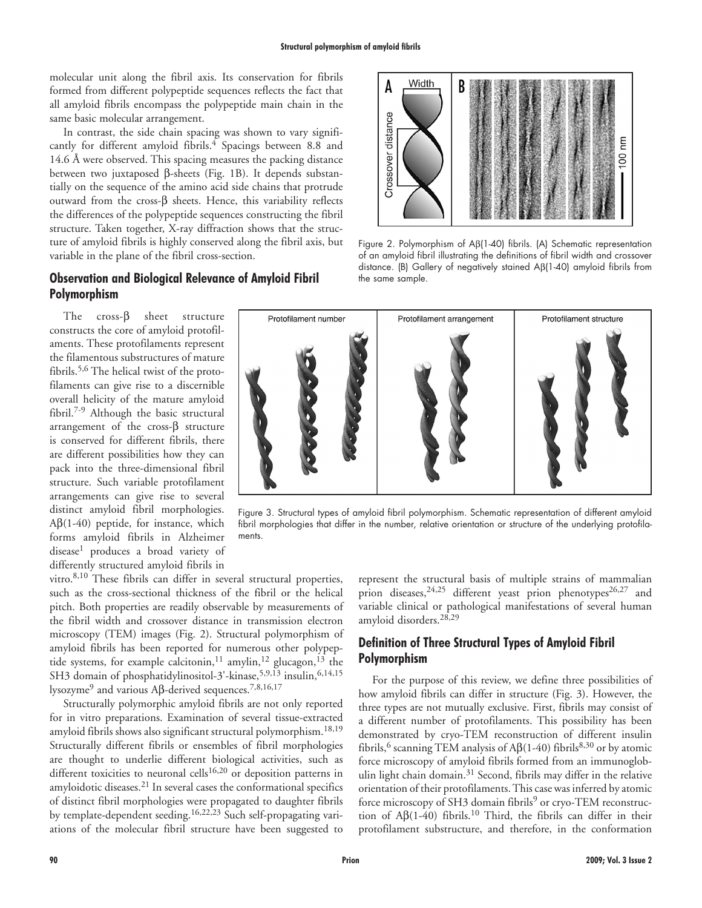molecular unit along the fibril axis. Its conservation for fibrils formed from different polypeptide sequences reflects the fact that all amyloid fibrils encompass the polypeptide main chain in the same basic molecular arrangement.

In contrast, the side chain spacing was shown to vary significantly for different amyloid fibrils.<sup>4</sup> Spacings between 8.8 and 14.6 Å were observed. This spacing measures the packing distance between two juxtaposed β-sheets (Fig. 1B). It depends substantially on the sequence of the amino acid side chains that protrude outward from the cross- $β$  sheets. Hence, this variability reflects the differences of the polypeptide sequences constructing the fibril structure. Taken together, X-ray diffraction shows that the structure of amyloid fibrils is highly conserved along the fibril axis, but variable in the plane of the fibril cross-section.

## **Observation and Biological Relevance of Amyloid Fibril Polymorphism**

The cross-β sheet structure constructs the core of amyloid protofilaments. These protofilaments represent the filamentous substructures of mature fibrils.5,6 The helical twist of the protofilaments can give rise to a discernible overall helicity of the mature amyloid fibril.7-9 Although the basic structural arrangement of the cross-β structure is conserved for different fibrils, there are different possibilities how they can pack into the three-dimensional fibril structure. Such variable protofilament arrangements can give rise to several distinct amyloid fibril morphologies. A $β(1-40)$  peptide, for instance, which forms amyloid fibrils in Alzheimer disease<sup>1</sup> produces a broad variety of differently structured amyloid fibrils in

vitro.8,10 These fibrils can differ in several structural properties, such as the cross-sectional thickness of the fibril or the helical pitch. Both properties are readily observable by measurements of the fibril width and crossover distance in transmission electron microscopy (TEM) images (Fig. 2). Structural polymorphism of amyloid fibrils has been reported for numerous other polypeptide systems, for example calcitonin,<sup>11</sup> amylin,<sup>12</sup> glucagon,<sup>13</sup> the SH3 domain of phosphatidylinositol-3'-kinase,<sup>5,9,13</sup> insulin,<sup>6,14,15</sup> lysozyme9 and various Aβ-derived sequences.7,8,16,17

Structurally polymorphic amyloid fibrils are not only reported for in vitro preparations. Examination of several tissue-extracted amyloid fibrils shows also significant structural polymorphism.<sup>18,19</sup> Structurally different fibrils or ensembles of fibril morphologies are thought to underlie different biological activities, such as different toxicities to neuronal cells<sup>16,20</sup> or deposition patterns in amyloidotic diseases.21 In several cases the conformational specifics of distinct fibril morphologies were propagated to daughter fibrils by template-dependent seeding.16,22,23 Such self-propagating variations of the molecular fibril structure have been suggested to



Figure 2. Polymorphism of Aβ(1-40) fibrils. (A) Schematic representation of an amyloid fibril illustrating the definitions of fibril width and crossover distance. (B) Gallery of negatively stained Aβ(1-40) amyloid fibrils from the same sample.



Figure 3. Structural types of amyloid fibril polymorphism. Schematic representation of different amyloid fibril morphologies that differ in the number, relative orientation or structure of the underlying protofilaments.

represent the structural basis of multiple strains of mammalian prion diseases,  $24,25$  different yeast prion phenotypes  $26,27$  and variable clinical or pathological manifestations of several human amyloid disorders.28,29

# **Definition of Three Structural Types of Amyloid Fibril Polymorphism**

For the purpose of this review, we define three possibilities of how amyloid fibrils can differ in structure (Fig. 3). However, the three types are not mutually exclusive. First, fibrils may consist of a different number of protofilaments. This possibility has been demonstrated by cryo-TEM reconstruction of different insulin fibrils,<sup>6</sup> scanning TEM analysis of A $\beta$ (1-40) fibrils<sup>8,30</sup> or by atomic force microscopy of amyloid fibrils formed from an immunoglobulin light chain domain.<sup>31</sup> Second, fibrils may differ in the relative orientation of their protofilaments. This case was inferred by atomic force microscopy of SH3 domain fibrils<sup>9</sup> or cryo-TEM reconstruction of  $A\beta(1-40)$  fibrils.<sup>10</sup> Third, the fibrils can differ in their protofilament substructure, and therefore, in the conformation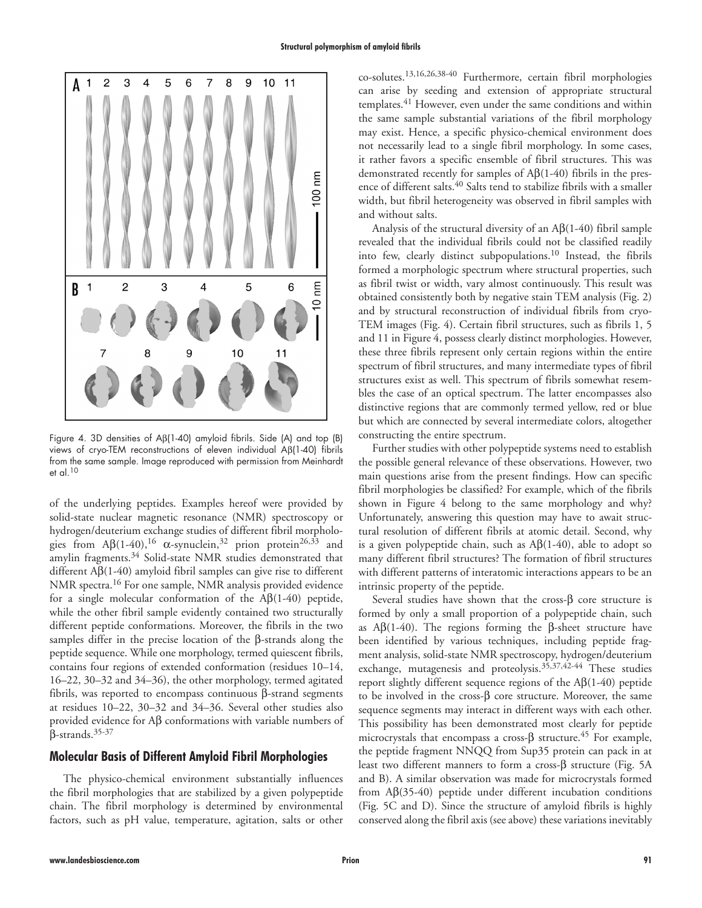

Figure 4. 3D densities of Aβ(1-40) amyloid fibrils. Side (A) and top (B) views of cryo-TEM reconstructions of eleven individual Aβ(1-40) fibrils from the same sample. Image reproduced with permission from Meinhardt et al.10

of the underlying peptides. Examples hereof were provided by solid-state nuclear magnetic resonance (NMR) spectroscopy or hydrogen/deuterium exchange studies of different fibril morphologies from  $A\beta(1-40)$ ,<sup>16</sup>  $\alpha$ -synuclein,<sup>32</sup> prion protein<sup>26,33</sup> and amylin fragments.<sup>34</sup> Solid-state NMR studies demonstrated that different Aβ(1-40) amyloid fibril samples can give rise to different NMR spectra.16 For one sample, NMR analysis provided evidence for a single molecular conformation of the  $\text{A}\beta(1-40)$  peptide, while the other fibril sample evidently contained two structurally different peptide conformations. Moreover, the fibrils in the two samples differ in the precise location of the β-strands along the peptide sequence. While one morphology, termed quiescent fibrils, contains four regions of extended conformation (residues 10–14, 16–22, 30–32 and 34–36), the other morphology, termed agitated fibrils, was reported to encompass continuous β-strand segments at residues 10–22, 30–32 and 34–36. Several other studies also provided evidence for Aβ conformations with variable numbers of β-strands.35-37

## **Molecular Basis of Different Amyloid Fibril Morphologies**

The physico-chemical environment substantially influences the fibril morphologies that are stabilized by a given polypeptide chain. The fibril morphology is determined by environmental factors, such as pH value, temperature, agitation, salts or other

co-solutes.13,16,26,38-40 Furthermore, certain fibril morphologies can arise by seeding and extension of appropriate structural templates.41 However, even under the same conditions and within the same sample substantial variations of the fibril morphology may exist. Hence, a specific physico-chemical environment does not necessarily lead to a single fibril morphology. In some cases, it rather favors a specific ensemble of fibril structures. This was demonstrated recently for samples of Aβ(1-40) fibrils in the presence of different salts.40 Salts tend to stabilize fibrils with a smaller width, but fibril heterogeneity was observed in fibril samples with and without salts.

Analysis of the structural diversity of an  $\text{AB}(1-40)$  fibril sample revealed that the individual fibrils could not be classified readily into few, clearly distinct subpopulations.10 Instead, the fibrils formed a morphologic spectrum where structural properties, such as fibril twist or width, vary almost continuously. This result was obtained consistently both by negative stain TEM analysis (Fig. 2) and by structural reconstruction of individual fibrils from cryo-TEM images (Fig. 4). Certain fibril structures, such as fibrils 1, 5 and 11 in Figure 4, possess clearly distinct morphologies. However, these three fibrils represent only certain regions within the entire spectrum of fibril structures, and many intermediate types of fibril structures exist as well. This spectrum of fibrils somewhat resembles the case of an optical spectrum. The latter encompasses also distinctive regions that are commonly termed yellow, red or blue but which are connected by several intermediate colors, altogether constructing the entire spectrum.

Further studies with other polypeptide systems need to establish the possible general relevance of these observations. However, two main questions arise from the present findings. How can specific fibril morphologies be classified? For example, which of the fibrils shown in Figure 4 belong to the same morphology and why? Unfortunately, answering this question may have to await structural resolution of different fibrils at atomic detail. Second, why is a given polypeptide chain, such as  $\text{A}\beta(1-40)$ , able to adopt so many different fibril structures? The formation of fibril structures with different patterns of interatomic interactions appears to be an intrinsic property of the peptide.

Several studies have shown that the cross-β core structure is formed by only a small proportion of a polypeptide chain, such as  $\text{A}\beta(1-40)$ . The regions forming the β-sheet structure have been identified by various techniques, including peptide fragment analysis, solid-state NMR spectroscopy, hydrogen/deuterium exchange, mutagenesis and proteolysis.35,37,42-44 These studies report slightly different sequence regions of the  $A\beta(1-40)$  peptide to be involved in the cross-β core structure. Moreover, the same sequence segments may interact in different ways with each other. This possibility has been demonstrated most clearly for peptide microcrystals that encompass a cross- $\beta$  structure.<sup>45</sup> For example, the peptide fragment NNQQ from Sup35 protein can pack in at least two different manners to form a cross-β structure (Fig. 5A and B). A similar observation was made for microcrystals formed from Aβ(35-40) peptide under different incubation conditions (Fig. 5C and D). Since the structure of amyloid fibrils is highly conserved along the fibril axis (see above) these variations inevitably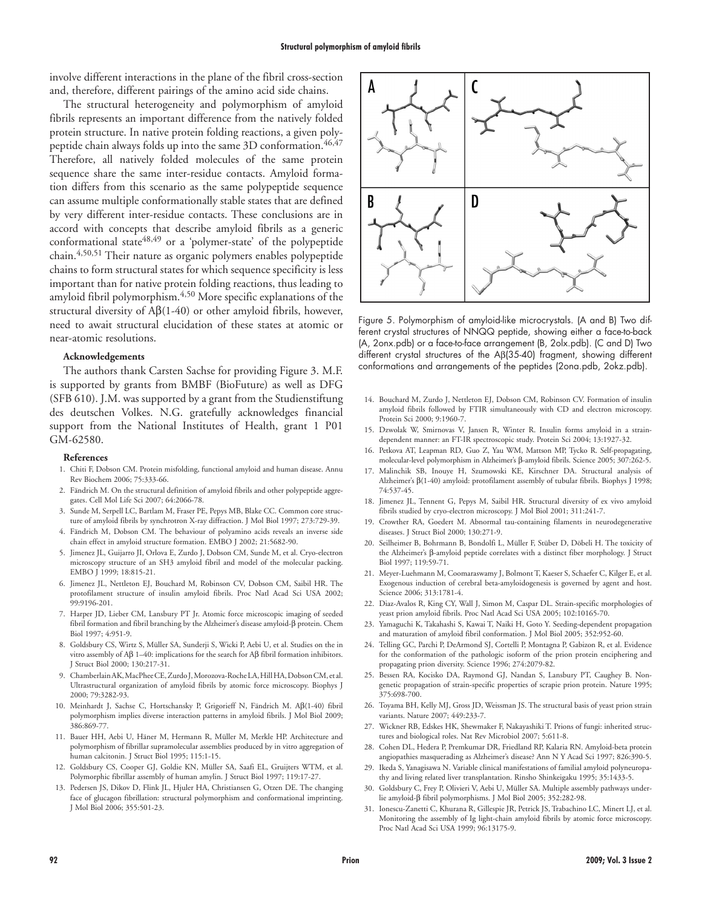involve different interactions in the plane of the fibril cross-section and, therefore, different pairings of the amino acid side chains.

The structural heterogeneity and polymorphism of amyloid fibrils represents an important difference from the natively folded protein structure. In native protein folding reactions, a given polypeptide chain always folds up into the same 3D conformation.<sup>46,47</sup> Therefore, all natively folded molecules of the same protein sequence share the same inter-residue contacts. Amyloid formation differs from this scenario as the same polypeptide sequence can assume multiple conformationally stable states that are defined by very different inter-residue contacts. These conclusions are in accord with concepts that describe amyloid fibrils as a generic conformational state<sup>48,49</sup> or a 'polymer-state' of the polypeptide chain.4,50,51 Their nature as organic polymers enables polypeptide chains to form structural states for which sequence specificity is less important than for native protein folding reactions, thus leading to amyloid fibril polymorphism.4,50 More specific explanations of the structural diversity of Aβ(1-40) or other amyloid fibrils, however, need to await structural elucidation of these states at atomic or near-atomic resolutions.

#### **Acknowledgements**

The authors thank Carsten Sachse for providing Figure 3. M.F. is supported by grants from BMBF (BioFuture) as well as DFG (SFB 610). J.M. was supported by a grant from the Studienstiftung des deutschen Volkes. N.G. gratefully acknowledges financial support from the National Institutes of Health, grant 1 P01 GM-62580.

#### **References**

- 1. Chiti F, Dobson CM. Protein misfolding, functional amyloid and human disease. Annu Rev Biochem 2006; 75:333-66.
- 2. Fändrich M. On the structural definition of amyloid fibrils and other polypeptide aggregates. Cell Mol Life Sci 2007; 64:2066-78.
- 3. Sunde M, Serpell LC, Bartlam M, Fraser PE, Pepys MB, Blake CC. Common core structure of amyloid fibrils by synchrotron X-ray diffraction. J Mol Biol 1997; 273:729-39.
- 4. Fändrich M, Dobson CM. The behaviour of polyamino acids reveals an inverse side chain effect in amyloid structure formation. EMBO J 2002; 21:5682-90.
- 5. Jimenez JL, Guijarro JI, Orlova E, Zurdo J, Dobson CM, Sunde M, et al. Cryo-electron microscopy structure of an SH3 amyloid fibril and model of the molecular packing. EMBO J 1999; 18:815-21.
- 6. Jimenez JL, Nettleton EJ, Bouchard M, Robinson CV, Dobson CM, Saibil HR. The protofilament structure of insulin amyloid fibrils. Proc Natl Acad Sci USA 2002; 99:9196-201.
- 7. Harper JD, Lieber CM, Lansbury PT Jr. Atomic force microscopic imaging of seeded fibril formation and fibril branching by the Alzheimer's disease amyloid-β protein. Chem Biol 1997; 4:951-9.
- 8. Goldsbury CS, Wirtz S, Müller SA, Sunderji S, Wicki P, Aebi U, et al. Studies on the in vitro assembly of Aβ 1–40: implications for the search for Aβ fibril formation inhibitors. J Struct Biol 2000; 130:217-31.
- 9. Chamberlain AK, MacPhee CE, Zurdo J, Morozova-Roche LA, Hill HA, Dobson CM, et al. Ultrastructural organization of amyloid fibrils by atomic force microscopy. Biophys J 2000; 79:3282-93.
- 10. Meinhardt J, Sachse C, Hortschansky P, Grigorieff N, Fändrich M. Aβ(1-40) fibril polymorphism implies diverse interaction patterns in amyloid fibrils. J Mol Biol 2009; 386:869-77.
- 11. Bauer HH, Aebi U, Häner M, Hermann R, Müller M, Merkle HP. Architecture and polymorphism of fibrillar supramolecular assemblies produced by in vitro aggregation of human calcitonin. J Struct Biol 1995; 115:1-15.
- 12. Goldsbury CS, Cooper GJ, Goldie KN, Müller SA, Saafi EL, Gruijters WTM, et al. Polymorphic fibrillar assembly of human amylin. J Struct Biol 1997; 119:17-27.
- 13. Pedersen JS, Dikov D, Flink JL, Hjuler HA, Christiansen G, Otzen DE. The changing face of glucagon fibrillation: structural polymorphism and conformational imprinting. J Mol Biol 2006; 355:501-23.



Figure 5. Polymorphism of amyloid-like microcrystals. (A and B) Two different crystal structures of NNQQ peptide, showing either a face-to-back (A, 2onx.pdb) or a face-to-face arrangement (B, 2olx.pdb). (C and D) Two different crystal structures of the Aβ(35-40) fragment, showing different conformations and arrangements of the peptides (2ona.pdb, 2okz.pdb).

- 14. Bouchard M, Zurdo J, Nettleton EJ, Dobson CM, Robinson CV. Formation of insulin amyloid fibrils followed by FTIR simultaneously with CD and electron microscopy. Protein Sci 2000; 9:1960-7.
- 15. Dzwolak W, Smirnovas V, Jansen R, Winter R. Insulin forms amyloid in a straindependent manner: an FT-IR spectroscopic study. Protein Sci 2004; 13:1927-32.
- 16. Petkova AT, Leapman RD, Guo Z, Yau WM, Mattson MP, Tycko R. Self-propagating, molecular-level polymorphism in Alzheimer's β-amyloid fibrils. Science 2005; 307:262-5.
- 17. Malinchik SB, Inouye H, Szumowski KE, Kirschner DA. Structural analysis of Alzheimer's β(1-40) amyloid: protofilament assembly of tubular fibrils. Biophys J 1998; 74:537-45.
- 18. Jimenez JL, Tennent G, Pepys M, Saibil HR. Structural diversity of ex vivo amyloid fibrils studied by cryo-electron microscopy. J Mol Biol 2001; 311:241-7.
- 19. Crowther RA, Goedert M. Abnormal tau-containing filaments in neurodegenerative diseases. J Struct Biol 2000; 130:271-9.
- 20. Seilheimer B, Bohrmann B, Bondolfi L, Müller F, Stüber D, Döbeli H. The toxicity of the Alzheimer's β-amyloid peptide correlates with a distinct fiber morphology. J Struct Biol 1997; 119:59-71.
- 21. Meyer-Luehmann M, Coomaraswamy J, Bolmont T, Kaeser S, Schaefer C, Kilger E, et al. Exogenous induction of cerebral beta-amyloidogenesis is governed by agent and host. Science 2006; 313:1781-4.
- 22. Diaz-Avalos R, King CY, Wall J, Simon M, Caspar DL. Strain-specific morphologies of yeast prion amyloid fibrils. Proc Natl Acad Sci USA 2005; 102:10165-70.
- 23. Yamaguchi K, Takahashi S, Kawai T, Naiki H, Goto Y. Seeding-dependent propagation and maturation of amyloid fibril conformation. J Mol Biol 2005; 352:952-60.
- 24. Telling GC, Parchi P, DeArmond SJ, Cortelli P, Montagna P, Gabizon R, et al. Evidence for the conformation of the pathologic isoform of the prion protein enciphering and propagating prion diversity. Science 1996; 274:2079-82.
- 25. Bessen RA, Kocisko DA, Raymond GJ, Nandan S, Lansbury PT, Caughey B. Nongenetic propagation of strain-specific properties of scrapie prion protein. Nature 1995; 375:698-700.
- 26. Toyama BH, Kelly MJ, Gross JD, Weissman JS. The structural basis of yeast prion strain variants. Nature 2007; 449:233-7.
- 27. Wickner RB, Edskes HK, Shewmaker F, Nakayashiki T. Prions of fungi: inherited structures and biological roles. Nat Rev Microbiol 2007; 5:611-8.
- 28. Cohen DL, Hedera P, Premkumar DR, Friedland RP, Kalaria RN. Amyloid-beta protein angiopathies masquerading as Alzheimer's disease? Ann N Y Acad Sci 1997; 826:390-5.
- 29. Ikeda S, Yanagisawa N. Variable clinical manifestations of familial amyloid polyneuropathy and living related liver transplantation. Rinsho Shinkeigaku 1995; 35:1433-5.
- 30. Goldsbury C, Frey P, Olivieri V, Aebi U, Müller SA. Multiple assembly pathways underlie amyloid-β fibril polymorphisms. J Mol Biol 2005; 352:282-98.
- 31. Ionescu-Zanetti C, Khurana R, Gillespie JR, Petrick JS, Trabachino LC, Minert LJ, et al. Monitoring the assembly of Ig light-chain amyloid fibrils by atomic force microscopy. Proc Natl Acad Sci USA 1999; 96:13175-9.